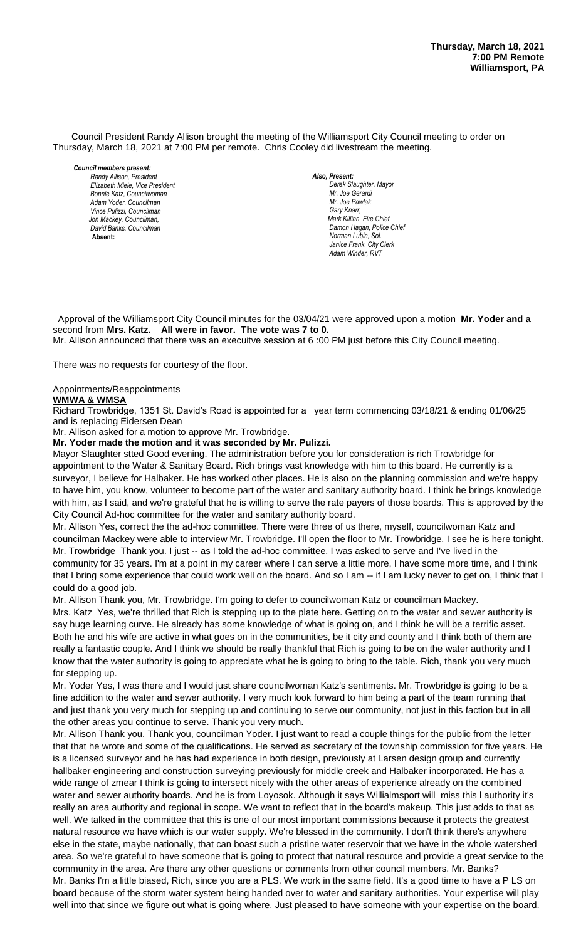Council President Randy Allison brought the meeting of the Williamsport City Council meeting to order on Thursday, March 18, 2021 at 7:00 PM per remote. Chris Cooley did livestream the meeting.

*Council members present: Randy Allison, President , President Elizabeth Miele, Vice President Bill Hall, Councilman Bonnie Katz, Councilwoman Adam Yoder, Councilman Vince Pulizzi, Councilman Jon Mackey, Councilman, David Banks, Councilman*  **Absent:** 

*Also, Present:*   $D$ erek Slaughter, Mayor *Mr. Joe Gerardi Mr. Joe Pawlak Gary Knarr, Mark Killian, Fire Chief,* **Damon Hagan, Police Chief** *Norman Lubin, Sol. Janice Frank, City Clerk* Adam Winder, RVT

 Approval of the Williamsport City Council minutes for the 03/04/21 were approved upon a motion **Mr. Yoder and a** second from **Mrs. Katz. All were in favor. The vote was 7 to 0.**

Mr. Allison announced that there was an execuitve session at 6 :00 PM just before this City Council meeting. *.* 

There was no requests for courtesy of the floor.

# Appointments/Reappointments

**WMWA & WMSA**

Richard Trowbridge, 1351 St. David's Road is appointed for a year term commencing 03/18/21 & ending 01/06/25 and is replacing Eidersen Dean

Mr. Allison asked for a motion to approve Mr. Trowbridge.

**Mr. Yoder made the motion and it was seconded by Mr. Pulizzi.**

Mayor Slaughter stted Good evening. The administration before you for consideration is rich Trowbridge for appointment to the Water & Sanitary Board. Rich brings vast knowledge with him to this board. He currently is a surveyor, I believe for Halbaker. He has worked other places. He is also on the planning commission and we're happy *Members of News Media* to have him, you know, volunteer to become part of the water and sanitary authority board. I think he brings knowledge *Members of the news media* with him, as I said, and we're grateful that he is willing to serve the rate payers of those boards. This is approved by the City Council Ad-hoc committee for the water and sanitary authority board.

Mr. Allison Yes, correct the the ad-hoc committee. There were three of us there, myself, councilwoman Katz and councilman Mackey were able to interview Mr. Trowbridge. I'll open the floor to Mr. Trowbridge. I see he is here tonight. Mr. Trowbridge Thank you. I just -- as I told the ad-hoc committee, I was asked to serve and I've lived in the community for 35 years. I'm at a point in my career where I can serve a little more, I have some more time, and I think that I bring some experience that could work well on the board. And so I am -- if I am lucky never to get on, I think that I could do a good job.

Mr. Allison Thank you, Mr. Trowbridge. I'm going to defer to councilwoman Katz or councilman Mackey.

Mrs. Katz Yes, we're thrilled that Rich is stepping up to the plate here. Getting on to the water and sewer authority is say huge learning curve. He already has some knowledge of what is going on, and I think he will be a terrific asset. Both he and his wife are active in what goes on in the communities, be it city and county and I think both of them are really a fantastic couple. And I think we should be really thankful that Rich is going to be on the water authority and I know that the water authority is going to appreciate what he is going to bring to the table. Rich, thank you very much for stepping up.

Mr. Yoder Yes, I was there and I would just share councilwoman Katz's sentiments. Mr. Trowbridge is going to be a fine addition to the water and sewer authority. I very much look forward to him being a part of the team running that and just thank you very much for stepping up and continuing to serve our community, not just in this faction but in all the other areas you continue to serve. Thank you very much.

Mr. Allison Thank you. Thank you, councilman Yoder. I just want to read a couple things for the public from the letter that that he wrote and some of the qualifications. He served as secretary of the township commission for five years. He is a licensed surveyor and he has had experience in both design, previously at Larsen design group and currently hallbaker engineering and construction surveying previously for middle creek and Halbaker incorporated. He has a wide range of zmear I think is going to intersect nicely with the other areas of experience already on the combined water and sewer authority boards. And he is from Loyosok. Although it says Willialmsport will miss this l authority it's really an area authority and regional in scope. We want to reflect that in the board's makeup. This just adds to that as well. We talked in the committee that this is one of our most important commissions because it protects the greatest natural resource we have which is our water supply. We're blessed in the community. I don't think there's anywhere else in the state, maybe nationally, that can boast such a pristine water reservoir that we have in the whole watershed area. So we're grateful to have someone that is going to protect that natural resource and provide a great service to the community in the area. Are there any other questions or comments from other council members. Mr. Banks? Mr. Banks I'm a little biased, Rich, since you are a PLS. We work in the same field. It's a good time to have a P LS on board because of the storm water system being handed over to water and sanitary authorities. Your expertise will play well into that since we figure out what is going where. Just pleased to have someone with your expertise on the board.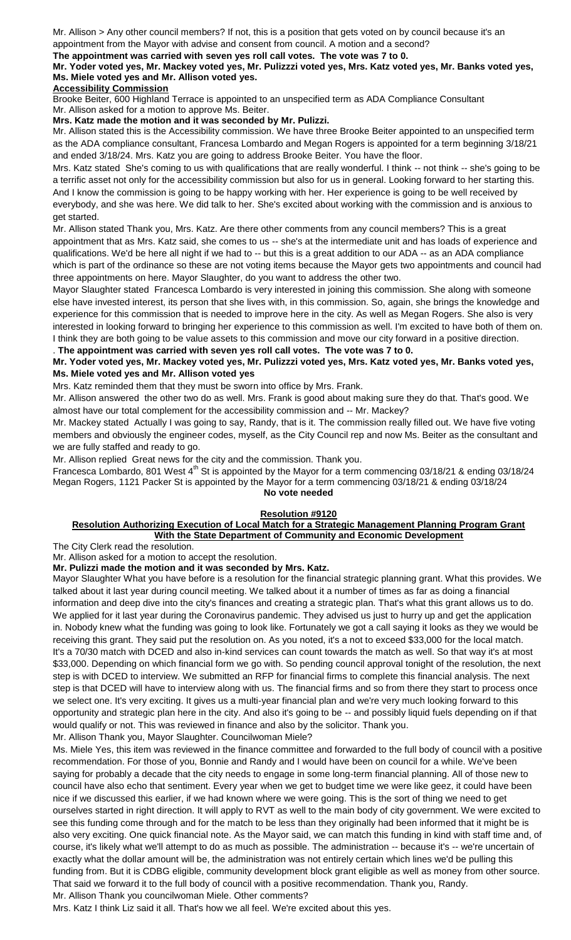Mr. Allison > Any other council members? If not, this is a position that gets voted on by council because it's an appointment from the Mayor with advise and consent from council. A motion and a second?

# **The appointment was carried with seven yes roll call votes. The vote was 7 to 0.**

# **Mr. Yoder voted yes, Mr. Mackey voted yes, Mr. Pulizzzi voted yes, Mrs. Katz voted yes, Mr. Banks voted yes, Ms. Miele voted yes and Mr. Allison voted yes.**

# **Accessibility Commission**

Brooke Beiter, 600 Highland Terrace is appointed to an unspecified term as ADA Compliance Consultant Mr. Allison asked for a motion to approve Ms. Beiter.

#### **Mrs. Katz made the motion and it was seconded by Mr. Pulizzi.**

Mr. Allison stated this is the Accessibility commission. We have three Brooke Beiter appointed to an unspecified term as the ADA compliance consultant, Francesa Lombardo and Megan Rogers is appointed for a term beginning 3/18/21 and ended 3/18/24. Mrs. Katz you are going to address Brooke Beiter. You have the floor.

Mrs. Katz stated She's coming to us with qualifications that are really wonderful. I think -- not think -- she's going to be a terrific asset not only for the accessibility commission but also for us in general. Looking forward to her starting this. And I know the commission is going to be happy working with her. Her experience is going to be well received by everybody, and she was here. We did talk to her. She's excited about working with the commission and is anxious to get started.

Mr. Allison stated Thank you, Mrs. Katz. Are there other comments from any council members? This is a great appointment that as Mrs. Katz said, she comes to us -- she's at the intermediate unit and has loads of experience and qualifications. We'd be here all night if we had to -- but this is a great addition to our ADA -- as an ADA compliance which is part of the ordinance so these are not voting items because the Mayor gets two appointments and council had three appointments on here. Mayor Slaughter, do you want to address the other two.

Mayor Slaughter stated Francesca Lombardo is very interested in joining this commission. She along with someone else have invested interest, its person that she lives with, in this commission. So, again, she brings the knowledge and experience for this commission that is needed to improve here in the city. As well as Megan Rogers. She also is very interested in looking forward to bringing her experience to this commission as well. I'm excited to have both of them on. I think they are both going to be value assets to this commission and move our city forward in a positive direction.

## . **The appointment was carried with seven yes roll call votes. The vote was 7 to 0.**

# **Mr. Yoder voted yes, Mr. Mackey voted yes, Mr. Pulizzzi voted yes, Mrs. Katz voted yes, Mr. Banks voted yes, Ms. Miele voted yes and Mr. Allison voted yes**

# Mrs. Katz reminded them that they must be sworn into office by Mrs. Frank.

Mr. Allison answered the other two do as well. Mrs. Frank is good about making sure they do that. That's good. We almost have our total complement for the accessibility commission and -- Mr. Mackey?

Mr. Mackey stated Actually I was going to say, Randy, that is it. The commission really filled out. We have five voting members and obviously the engineer codes, myself, as the City Council rep and now Ms. Beiter as the consultant and we are fully staffed and ready to go.

Mr. Allison replied Great news for the city and the commission. Thank you.

Francesca Lombardo, 801 West  $4<sup>th</sup>$  St is appointed by the Mayor for a term commencing 03/18/21 & ending 03/18/24 Megan Rogers, 1121 Packer St is appointed by the Mayor for a term commencing 03/18/21 & ending 03/18/24 **No vote needed**

# **Resolution #9120**

## **Resolution Authorizing Execution of Local Match for a Strategic Management Planning Program Grant With the State Department of Community and Economic Development**

The City Clerk read the resolution.

Mr. Allison asked for a motion to accept the resolution.

**Mr. Pulizzi made the motion and it was seconded by Mrs. Katz.**

Mayor Slaughter What you have before is a resolution for the financial strategic planning grant. What this provides. We talked about it last year during council meeting. We talked about it a number of times as far as doing a financial information and deep dive into the city's finances and creating a strategic plan. That's what this grant allows us to do. We applied for it last year during the Coronavirus pandemic. They advised us just to hurry up and get the application in. Nobody knew what the funding was going to look like. Fortunately we got a call saying it looks as they we would be receiving this grant. They said put the resolution on. As you noted, it's a not to exceed \$33,000 for the local match. It's a 70/30 match with DCED and also in-kind services can count towards the match as well. So that way it's at most \$33,000. Depending on which financial form we go with. So pending council approval tonight of the resolution, the next step is with DCED to interview. We submitted an RFP for financial firms to complete this financial analysis. The next step is that DCED will have to interview along with us. The financial firms and so from there they start to process once we select one. It's very exciting. It gives us a multi-year financial plan and we're very much looking forward to this opportunity and strategic plan here in the city. And also it's going to be -- and possibly liquid fuels depending on if that would qualify or not. This was reviewed in finance and also by the solicitor. Thank you.

Mr. Allison Thank you, Mayor Slaughter. Councilwoman Miele?

Ms. Miele Yes, this item was reviewed in the finance committee and forwarded to the full body of council with a positive recommendation. For those of you, Bonnie and Randy and I would have been on council for a while. We've been saying for probably a decade that the city needs to engage in some long-term financial planning. All of those new to council have also echo that sentiment. Every year when we get to budget time we were like geez, it could have been nice if we discussed this earlier, if we had known where we were going. This is the sort of thing we need to get ourselves started in right direction. It will apply to RVT as well to the main body of city government. We were excited to see this funding come through and for the match to be less than they originally had been informed that it might be is also very exciting. One quick financial note. As the Mayor said, we can match this funding in kind with staff time and, of course, it's likely what we'll attempt to do as much as possible. The administration -- because it's -- we're uncertain of exactly what the dollar amount will be, the administration was not entirely certain which lines we'd be pulling this funding from. But it is CDBG eligible, community development block grant eligible as well as money from other source. That said we forward it to the full body of council with a positive recommendation. Thank you, Randy. Mr. Allison Thank you councilwoman Miele. Other comments?

Mrs. Katz I think Liz said it all. That's how we all feel. We're excited about this yes.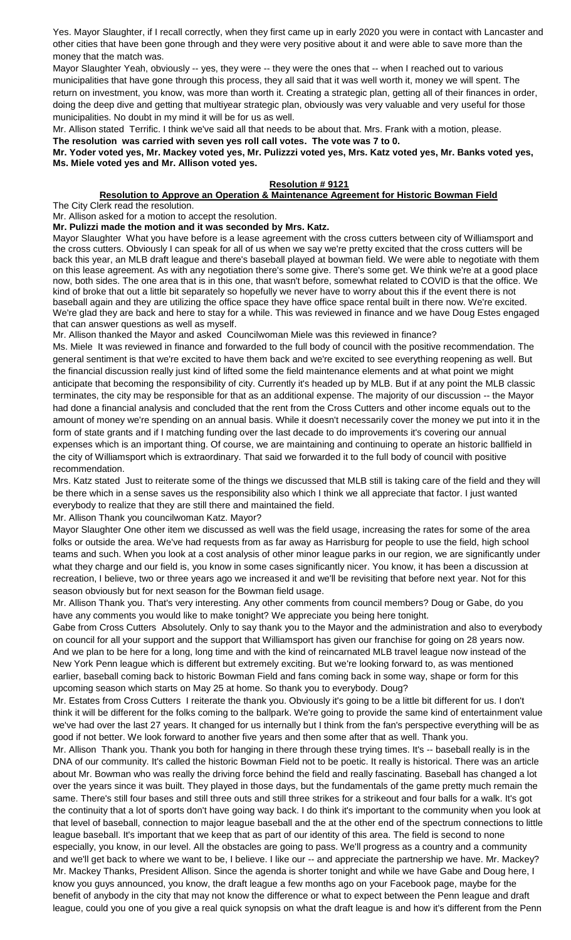Yes. Mayor Slaughter, if I recall correctly, when they first came up in early 2020 you were in contact with Lancaster and other cities that have been gone through and they were very positive about it and were able to save more than the money that the match was.

Mayor Slaughter Yeah, obviously -- yes, they were -- they were the ones that -- when I reached out to various municipalities that have gone through this process, they all said that it was well worth it, money we will spent. The return on investment, you know, was more than worth it. Creating a strategic plan, getting all of their finances in order, doing the deep dive and getting that multiyear strategic plan, obviously was very valuable and very useful for those municipalities. No doubt in my mind it will be for us as well.

Mr. Allison stated Terrific. I think we've said all that needs to be about that. Mrs. Frank with a motion, please.

**The resolution was carried with seven yes roll call votes. The vote was 7 to 0.**

**Mr. Yoder voted yes, Mr. Mackey voted yes, Mr. Pulizzzi voted yes, Mrs. Katz voted yes, Mr. Banks voted yes, Ms. Miele voted yes and Mr. Allison voted yes.**

# **Resolution # 9121**

#### **Resolution to Approve an Operation & Maintenance Agreement for Historic Bowman Field** The City Clerk read the resolution.

Mr. Allison asked for a motion to accept the resolution.

**Mr. Pulizzi made the motion and it was seconded by Mrs. Katz.**

Mayor Slaughter What you have before is a lease agreement with the cross cutters between city of Williamsport and the cross cutters. Obviously I can speak for all of us when we say we're pretty excited that the cross cutters will be back this year, an MLB draft league and there's baseball played at bowman field. We were able to negotiate with them on this lease agreement. As with any negotiation there's some give. There's some get. We think we're at a good place now, both sides. The one area that is in this one, that wasn't before, somewhat related to COVID is that the office. We kind of broke that out a little bit separately so hopefully we never have to worry about this if the event there is not baseball again and they are utilizing the office space they have office space rental built in there now. We're excited. We're glad they are back and here to stay for a while. This was reviewed in finance and we have Doug Estes engaged that can answer questions as well as myself.

Mr. Allison thanked the Mayor and asked Councilwoman Miele was this reviewed in finance?

Ms. Miele It was reviewed in finance and forwarded to the full body of council with the positive recommendation. The general sentiment is that we're excited to have them back and we're excited to see everything reopening as well. But the financial discussion really just kind of lifted some the field maintenance elements and at what point we might anticipate that becoming the responsibility of city. Currently it's headed up by MLB. But if at any point the MLB classic terminates, the city may be responsible for that as an additional expense. The majority of our discussion -- the Mayor had done a financial analysis and concluded that the rent from the Cross Cutters and other income equals out to the amount of money we're spending on an annual basis. While it doesn't necessarily cover the money we put into it in the form of state grants and if I matching funding over the last decade to do improvements it's covering our annual expenses which is an important thing. Of course, we are maintaining and continuing to operate an historic ballfield in the city of Williamsport which is extraordinary. That said we forwarded it to the full body of council with positive recommendation.

Mrs. Katz stated Just to reiterate some of the things we discussed that MLB still is taking care of the field and they will be there which in a sense saves us the responsibility also which I think we all appreciate that factor. I just wanted everybody to realize that they are still there and maintained the field.

# Mr. Allison Thank you councilwoman Katz. Mayor?

Mayor Slaughter One other item we discussed as well was the field usage, increasing the rates for some of the area folks or outside the area. We've had requests from as far away as Harrisburg for people to use the field, high school teams and such. When you look at a cost analysis of other minor league parks in our region, we are significantly under what they charge and our field is, you know in some cases significantly nicer. You know, it has been a discussion at recreation, I believe, two or three years ago we increased it and we'll be revisiting that before next year. Not for this season obviously but for next season for the Bowman field usage.

Mr. Allison Thank you. That's very interesting. Any other comments from council members? Doug or Gabe, do you have any comments you would like to make tonight? We appreciate you being here tonight.

Gabe from Cross Cutters Absolutely. Only to say thank you to the Mayor and the administration and also to everybody on council for all your support and the support that Williamsport has given our franchise for going on 28 years now. And we plan to be here for a long, long time and with the kind of reincarnated MLB travel league now instead of the New York Penn league which is different but extremely exciting. But we're looking forward to, as was mentioned earlier, baseball coming back to historic Bowman Field and fans coming back in some way, shape or form for this upcoming season which starts on May 25 at home. So thank you to everybody. Doug?

Mr. Estates from Cross Cutters I reiterate the thank you. Obviously it's going to be a little bit different for us. I don't think it will be different for the folks coming to the ballpark. We're going to provide the same kind of entertainment value we've had over the last 27 years. It changed for us internally but I think from the fan's perspective everything will be as good if not better. We look forward to another five years and then some after that as well. Thank you.

Mr. Allison Thank you. Thank you both for hanging in there through these trying times. It's -- baseball really is in the DNA of our community. It's called the historic Bowman Field not to be poetic. It really is historical. There was an article about Mr. Bowman who was really the driving force behind the field and really fascinating. Baseball has changed a lot over the years since it was built. They played in those days, but the fundamentals of the game pretty much remain the same. There's still four bases and still three outs and still three strikes for a strikeout and four balls for a walk. It's got the continuity that a lot of sports don't have going way back. I do think it's important to the community when you look at that level of baseball, connection to major league baseball and the at the other end of the spectrum connections to little league baseball. It's important that we keep that as part of our identity of this area. The field is second to none especially, you know, in our level. All the obstacles are going to pass. We'll progress as a country and a community and we'll get back to where we want to be, I believe. I like our -- and appreciate the partnership we have. Mr. Mackey? Mr. Mackey Thanks, President Allison. Since the agenda is shorter tonight and while we have Gabe and Doug here, I know you guys announced, you know, the draft league a few months ago on your Facebook page, maybe for the benefit of anybody in the city that may not know the difference or what to expect between the Penn league and draft league, could you one of you give a real quick synopsis on what the draft league is and how it's different from the Penn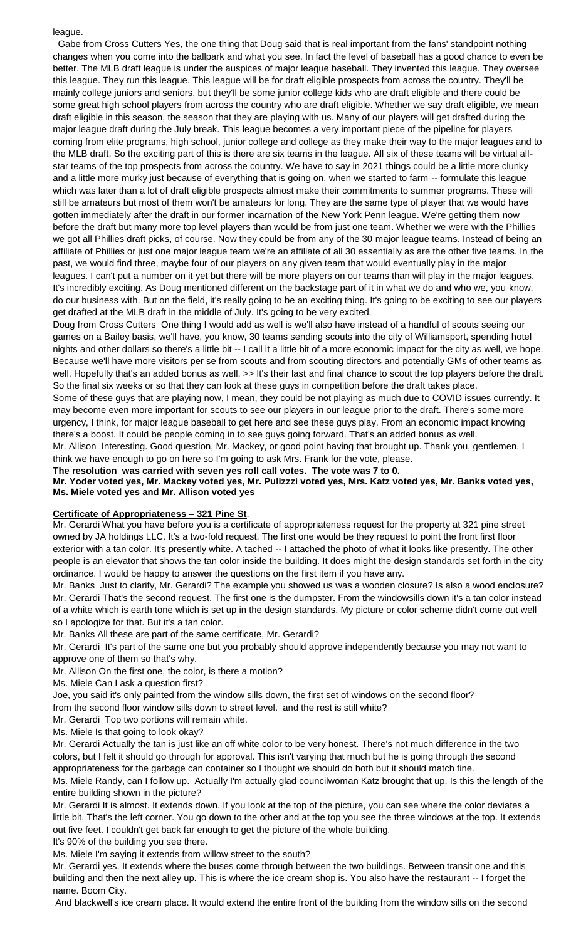## league.

 Gabe from Cross Cutters Yes, the one thing that Doug said that is real important from the fans' standpoint nothing changes when you come into the ballpark and what you see. In fact the level of baseball has a good chance to even be better. The MLB draft league is under the auspices of major league baseball. They invented this league. They oversee this league. They run this league. This league will be for draft eligible prospects from across the country. They'll be mainly college juniors and seniors, but they'll be some junior college kids who are draft eligible and there could be some great high school players from across the country who are draft eligible. Whether we say draft eligible, we mean draft eligible in this season, the season that they are playing with us. Many of our players will get drafted during the major league draft during the July break. This league becomes a very important piece of the pipeline for players coming from elite programs, high school, junior college and college as they make their way to the major leagues and to the MLB draft. So the exciting part of this is there are six teams in the league. All six of these teams will be virtual allstar teams of the top prospects from across the country. We have to say in 2021 things could be a little more clunky and a little more murky just because of everything that is going on, when we started to farm -- formulate this league which was later than a lot of draft eligible prospects almost make their commitments to summer programs. These will still be amateurs but most of them won't be amateurs for long. They are the same type of player that we would have gotten immediately after the draft in our former incarnation of the New York Penn league. We're getting them now before the draft but many more top level players than would be from just one team. Whether we were with the Phillies we got all Phillies draft picks, of course. Now they could be from any of the 30 major league teams. Instead of being an affiliate of Phillies or just one major league team we're an affiliate of all 30 essentially as are the other five teams. In the past, we would find three, maybe four of our players on any given team that would eventually play in the major leagues. I can't put a number on it yet but there will be more players on our teams than will play in the major leagues. It's incredibly exciting. As Doug mentioned different on the backstage part of it in what we do and who we, you know, do our business with. But on the field, it's really going to be an exciting thing. It's going to be exciting to see our players get drafted at the MLB draft in the middle of July. It's going to be very excited.

Doug from Cross Cutters One thing I would add as well is we'll also have instead of a handful of scouts seeing our games on a Bailey basis, we'll have, you know, 30 teams sending scouts into the city of Williamsport, spending hotel nights and other dollars so there's a little bit -- I call it a little bit of a more economic impact for the city as well, we hope. Because we'll have more visitors per se from scouts and from scouting directors and potentially GMs of other teams as well. Hopefully that's an added bonus as well. >> It's their last and final chance to scout the top players before the draft. So the final six weeks or so that they can look at these guys in competition before the draft takes place.

Some of these guys that are playing now, I mean, they could be not playing as much due to COVID issues currently. It may become even more important for scouts to see our players in our league prior to the draft. There's some more urgency, I think, for major league baseball to get here and see these guys play. From an economic impact knowing there's a boost. It could be people coming in to see guys going forward. That's an added bonus as well.

Mr. Allison Interesting. Good question, Mr. Mackey, or good point having that brought up. Thank you, gentlemen. I think we have enough to go on here so I'm going to ask Mrs. Frank for the vote, please.

**The resolution was carried with seven yes roll call votes. The vote was 7 to 0.**

**Mr. Yoder voted yes, Mr. Mackey voted yes, Mr. Pulizzzi voted yes, Mrs. Katz voted yes, Mr. Banks voted yes, Ms. Miele voted yes and Mr. Allison voted yes**

#### **Certificate of Appropriateness – 321 Pine St**.

Mr. Gerardi What you have before you is a certificate of appropriateness request for the property at 321 pine street owned by JA holdings LLC. It's a two-fold request. The first one would be they request to point the front first floor exterior with a tan color. It's presently white. A tached -- I attached the photo of what it looks like presently. The other people is an elevator that shows the tan color inside the building. It does might the design standards set forth in the city ordinance. I would be happy to answer the questions on the first item if you have any.

Mr. Banks Just to clarify, Mr. Gerardi? The example you showed us was a wooden closure? Is also a wood enclosure? Mr. Gerardi That's the second request. The first one is the dumpster. From the windowsills down it's a tan color instead of a white which is earth tone which is set up in the design standards. My picture or color scheme didn't come out well so I apologize for that. But it's a tan color.

Mr. Banks All these are part of the same certificate, Mr. Gerardi?

Mr. Gerardi It's part of the same one but you probably should approve independently because you may not want to approve one of them so that's why.

Mr. Allison On the first one, the color, is there a motion?

Ms. Miele Can I ask a question first?

Joe, you said it's only painted from the window sills down, the first set of windows on the second floor?

from the second floor window sills down to street level. and the rest is still white?

Mr. Gerardi Top two portions will remain white.

Ms. Miele Is that going to look okay?

Mr. Gerardi Actually the tan is just like an off white color to be very honest. There's not much difference in the two colors, but I felt it should go through for approval. This isn't varying that much but he is going through the second appropriateness for the garbage can container so I thought we should do both but it should match fine.

Ms. Miele Randy, can I follow up. Actually I'm actually glad councilwoman Katz brought that up. Is this the length of the entire building shown in the picture?

Mr. Gerardi It is almost. It extends down. If you look at the top of the picture, you can see where the color deviates a little bit. That's the left corner. You go down to the other and at the top you see the three windows at the top. It extends out five feet. I couldn't get back far enough to get the picture of the whole building.

It's 90% of the building you see there.

Ms. Miele I'm saying it extends from willow street to the south?

Mr. Gerardi yes. It extends where the buses come through between the two buildings. Between transit one and this building and then the next alley up. This is where the ice cream shop is. You also have the restaurant -- I forget the name. Boom City.

And blackwell's ice cream place. It would extend the entire front of the building from the window sills on the second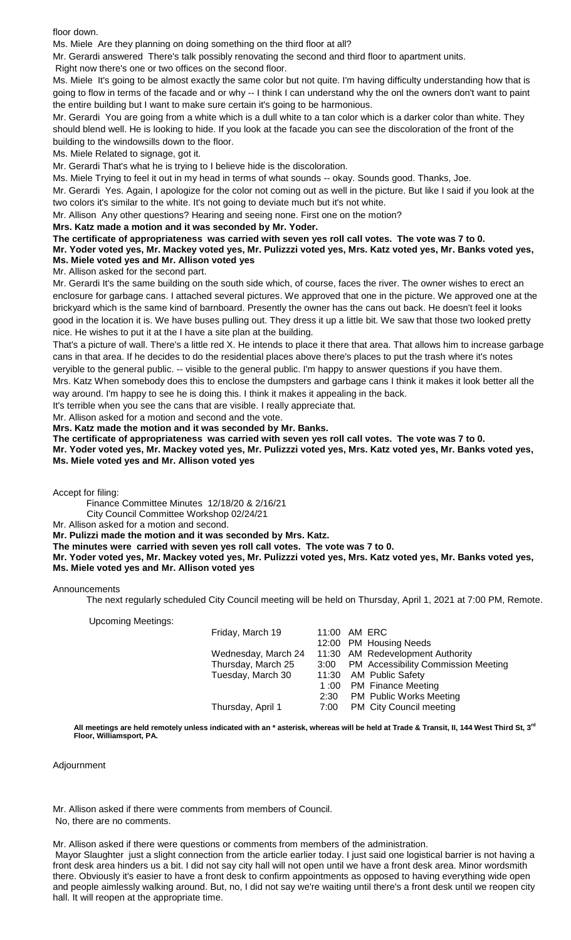floor down.

Ms. Miele Are they planning on doing something on the third floor at all?

Mr. Gerardi answered There's talk possibly renovating the second and third floor to apartment units.

Right now there's one or two offices on the second floor.

Ms. Miele It's going to be almost exactly the same color but not quite. I'm having difficulty understanding how that is going to flow in terms of the facade and or why -- I think I can understand why the onl the owners don't want to paint the entire building but I want to make sure certain it's going to be harmonious.

Mr. Gerardi You are going from a white which is a dull white to a tan color which is a darker color than white. They should blend well. He is looking to hide. If you look at the facade you can see the discoloration of the front of the building to the windowsills down to the floor.

Ms. Miele Related to signage, got it.

Mr. Gerardi That's what he is trying to I believe hide is the discoloration.

Ms. Miele Trying to feel it out in my head in terms of what sounds -- okay. Sounds good. Thanks, Joe.

Mr. Gerardi Yes. Again, I apologize for the color not coming out as well in the picture. But like I said if you look at the two colors it's similar to the white. It's not going to deviate much but it's not white.

Mr. Allison Any other questions? Hearing and seeing none. First one on the motion?

**Mrs. Katz made a motion and it was seconded by Mr. Yoder.**

**The certificate of appropriateness was carried with seven yes roll call votes. The vote was 7 to 0.**

**Mr. Yoder voted yes, Mr. Mackey voted yes, Mr. Pulizzzi voted yes, Mrs. Katz voted yes, Mr. Banks voted yes, Ms. Miele voted yes and Mr. Allison voted yes**

Mr. Allison asked for the second part.

Mr. Gerardi It's the same building on the south side which, of course, faces the river. The owner wishes to erect an enclosure for garbage cans. I attached several pictures. We approved that one in the picture. We approved one at the brickyard which is the same kind of barnboard. Presently the owner has the cans out back. He doesn't feel it looks good in the location it is. We have buses pulling out. They dress it up a little bit. We saw that those two looked pretty nice. He wishes to put it at the I have a site plan at the building.

That's a picture of wall. There's a little red X. He intends to place it there that area. That allows him to increase garbage cans in that area. If he decides to do the residential places above there's places to put the trash where it's notes veryible to the general public. -- visible to the general public. I'm happy to answer questions if you have them.

Mrs. Katz When somebody does this to enclose the dumpsters and garbage cans I think it makes it look better all the way around. I'm happy to see he is doing this. I think it makes it appealing in the back.

It's terrible when you see the cans that are visible. I really appreciate that.

Mr. Allison asked for a motion and second and the vote.

**Mrs. Katz made the motion and it was seconded by Mr. Banks.**

**The certificate of appropriateness was carried with seven yes roll call votes. The vote was 7 to 0. Mr. Yoder voted yes, Mr. Mackey voted yes, Mr. Pulizzzi voted yes, Mrs. Katz voted yes, Mr. Banks voted yes, Ms. Miele voted yes and Mr. Allison voted yes**

Accept for filing:

Finance Committee Minutes 12/18/20 & 2/16/21

City Council Committee Workshop 02/24/21

Mr. Allison asked for a motion and second.

**Mr. Pulizzi made the motion and it was seconded by Mrs. Katz.**

**The minutes were carried with seven yes roll call votes. The vote was 7 to 0.**

**Mr. Yoder voted yes, Mr. Mackey voted yes, Mr. Pulizzzi voted yes, Mrs. Katz voted yes, Mr. Banks voted yes, Ms. Miele voted yes and Mr. Allison voted yes**

#### Announcements

The next regularly scheduled City Council meeting will be held on Thursday, April 1, 2021 at 7:00 PM, Remote.

Upcoming Meetings:

| Friday, March 19    |      | 11:00 AM ERC                        |
|---------------------|------|-------------------------------------|
|                     |      | 12:00 PM Housing Needs              |
| Wednesday, March 24 |      | 11:30 AM Redevelopment Authority    |
| Thursday, March 25  | 3:00 | PM Accessibility Commission Meeting |
| Tuesday, March 30   |      | 11:30 AM Public Safety              |
|                     |      | 1:00 PM Finance Meeting             |
|                     |      | 2:30 PM Public Works Meeting        |
| Thursday, April 1   | 7:00 | PM City Council meeting             |
|                     |      |                                     |

**All meetings are held remotely unless indicated with an \* asterisk, whereas will be held at Trade & Transit, II, 144 West Third St, 3rd Floor, Williamsport, PA.**

#### Adjournment

Mr. Allison asked if there were comments from members of Council.

No, there are no comments.

Mr. Allison asked if there were questions or comments from members of the administration. Mayor Slaughter just a slight connection from the article earlier today. I just said one logistical barrier is not having a front desk area hinders us a bit. I did not say city hall will not open until we have a front desk area. Minor wordsmith there. Obviously it's easier to have a front desk to confirm appointments as opposed to having everything wide open and people aimlessly walking around. But, no, I did not say we're waiting until there's a front desk until we reopen city hall. It will reopen at the appropriate time.